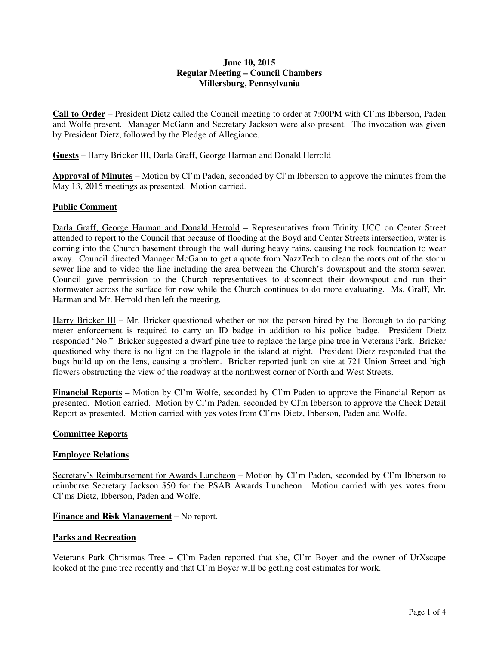## **June 10, 2015 Regular Meeting – Council Chambers Millersburg, Pennsylvania**

**Call to Order** – President Dietz called the Council meeting to order at 7:00PM with Cl'ms Ibberson, Paden and Wolfe present. Manager McGann and Secretary Jackson were also present. The invocation was given by President Dietz, followed by the Pledge of Allegiance.

**Guests** – Harry Bricker III, Darla Graff, George Harman and Donald Herrold

**Approval of Minutes** – Motion by Cl'm Paden, seconded by Cl'm Ibberson to approve the minutes from the May 13, 2015 meetings as presented. Motion carried.

# **Public Comment**

Darla Graff, George Harman and Donald Herrold – Representatives from Trinity UCC on Center Street attended to report to the Council that because of flooding at the Boyd and Center Streets intersection, water is coming into the Church basement through the wall during heavy rains, causing the rock foundation to wear away. Council directed Manager McGann to get a quote from NazzTech to clean the roots out of the storm sewer line and to video the line including the area between the Church's downspout and the storm sewer. Council gave permission to the Church representatives to disconnect their downspout and run their stormwater across the surface for now while the Church continues to do more evaluating. Ms. Graff, Mr. Harman and Mr. Herrold then left the meeting.

Harry Bricker III – Mr. Bricker questioned whether or not the person hired by the Borough to do parking meter enforcement is required to carry an ID badge in addition to his police badge. President Dietz responded "No." Bricker suggested a dwarf pine tree to replace the large pine tree in Veterans Park. Bricker questioned why there is no light on the flagpole in the island at night. President Dietz responded that the bugs build up on the lens, causing a problem. Bricker reported junk on site at 721 Union Street and high flowers obstructing the view of the roadway at the northwest corner of North and West Streets.

**Financial Reports** – Motion by Cl'm Wolfe, seconded by Cl'm Paden to approve the Financial Report as presented. Motion carried. Motion by Cl'm Paden, seconded by Cl'm Ibberson to approve the Check Detail Report as presented. Motion carried with yes votes from Cl'ms Dietz, Ibberson, Paden and Wolfe.

## **Committee Reports**

## **Employee Relations**

Secretary's Reimbursement for Awards Luncheon – Motion by Cl'm Paden, seconded by Cl'm Ibberson to reimburse Secretary Jackson \$50 for the PSAB Awards Luncheon. Motion carried with yes votes from Cl'ms Dietz, Ibberson, Paden and Wolfe.

**Finance and Risk Management** – No report.

#### **Parks and Recreation**

Veterans Park Christmas Tree – Cl'm Paden reported that she, Cl'm Boyer and the owner of UrXscape looked at the pine tree recently and that Cl'm Boyer will be getting cost estimates for work.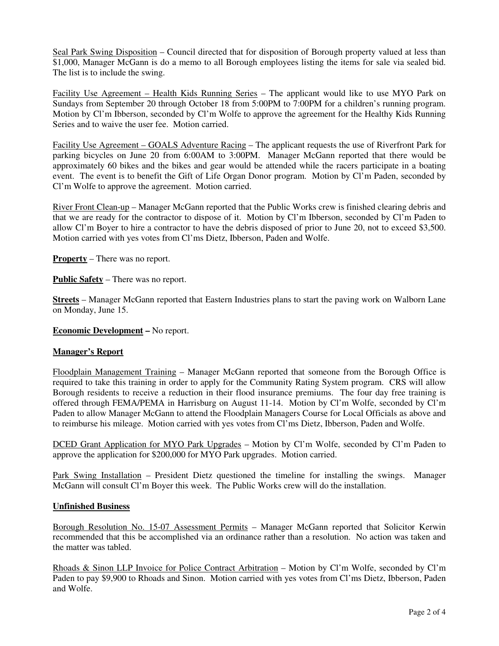Seal Park Swing Disposition – Council directed that for disposition of Borough property valued at less than \$1,000, Manager McGann is do a memo to all Borough employees listing the items for sale via sealed bid. The list is to include the swing.

Facility Use Agreement – Health Kids Running Series – The applicant would like to use MYO Park on Sundays from September 20 through October 18 from 5:00PM to 7:00PM for a children's running program. Motion by Cl'm Ibberson, seconded by Cl'm Wolfe to approve the agreement for the Healthy Kids Running Series and to waive the user fee. Motion carried.

Facility Use Agreement – GOALS Adventure Racing – The applicant requests the use of Riverfront Park for parking bicycles on June 20 from 6:00AM to 3:00PM. Manager McGann reported that there would be approximately 60 bikes and the bikes and gear would be attended while the racers participate in a boating event. The event is to benefit the Gift of Life Organ Donor program. Motion by Cl'm Paden, seconded by Cl'm Wolfe to approve the agreement. Motion carried.

River Front Clean-up – Manager McGann reported that the Public Works crew is finished clearing debris and that we are ready for the contractor to dispose of it. Motion by Cl'm Ibberson, seconded by Cl'm Paden to allow Cl'm Boyer to hire a contractor to have the debris disposed of prior to June 20, not to exceed \$3,500. Motion carried with yes votes from Cl'ms Dietz, Ibberson, Paden and Wolfe.

**Property** – There was no report.

**Public Safety** – There was no report.

**Streets** – Manager McGann reported that Eastern Industries plans to start the paving work on Walborn Lane on Monday, June 15.

**Economic Development –** No report.

#### **Manager's Report**

Floodplain Management Training – Manager McGann reported that someone from the Borough Office is required to take this training in order to apply for the Community Rating System program. CRS will allow Borough residents to receive a reduction in their flood insurance premiums. The four day free training is offered through FEMA/PEMA in Harrisburg on August 11-14. Motion by Cl'm Wolfe, seconded by Cl'm Paden to allow Manager McGann to attend the Floodplain Managers Course for Local Officials as above and to reimburse his mileage. Motion carried with yes votes from Cl'ms Dietz, Ibberson, Paden and Wolfe.

DCED Grant Application for MYO Park Upgrades – Motion by Cl'm Wolfe, seconded by Cl'm Paden to approve the application for \$200,000 for MYO Park upgrades. Motion carried.

Park Swing Installation – President Dietz questioned the timeline for installing the swings. Manager McGann will consult Cl'm Boyer this week. The Public Works crew will do the installation.

#### **Unfinished Business**

Borough Resolution No. 15-07 Assessment Permits – Manager McGann reported that Solicitor Kerwin recommended that this be accomplished via an ordinance rather than a resolution. No action was taken and the matter was tabled.

Rhoads & Sinon LLP Invoice for Police Contract Arbitration – Motion by Cl'm Wolfe, seconded by Cl'm Paden to pay \$9,900 to Rhoads and Sinon. Motion carried with yes votes from Cl'ms Dietz, Ibberson, Paden and Wolfe.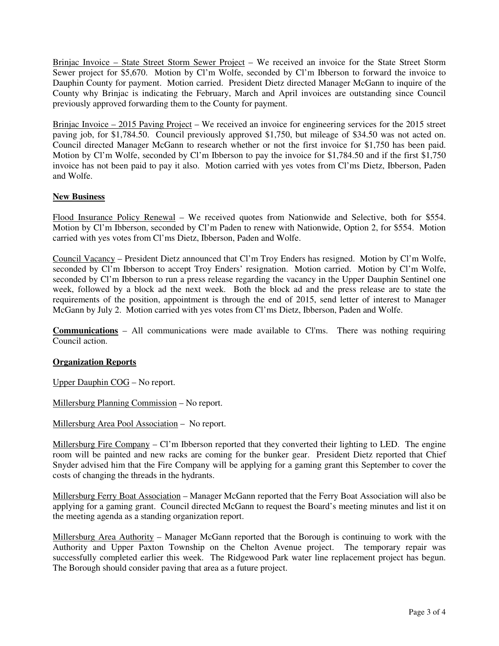Brinjac Invoice – State Street Storm Sewer Project – We received an invoice for the State Street Storm Sewer project for \$5,670. Motion by Cl'm Wolfe, seconded by Cl'm Ibberson to forward the invoice to Dauphin County for payment. Motion carried. President Dietz directed Manager McGann to inquire of the County why Brinjac is indicating the February, March and April invoices are outstanding since Council previously approved forwarding them to the County for payment.

Brinjac Invoice – 2015 Paving Project – We received an invoice for engineering services for the 2015 street paving job, for \$1,784.50. Council previously approved \$1,750, but mileage of \$34.50 was not acted on. Council directed Manager McGann to research whether or not the first invoice for \$1,750 has been paid. Motion by Cl'm Wolfe, seconded by Cl'm Ibberson to pay the invoice for \$1,784.50 and if the first \$1,750 invoice has not been paid to pay it also. Motion carried with yes votes from Cl'ms Dietz, Ibberson, Paden and Wolfe.

# **New Business**

Flood Insurance Policy Renewal – We received quotes from Nationwide and Selective, both for \$554. Motion by Cl'm Ibberson, seconded by Cl'm Paden to renew with Nationwide, Option 2, for \$554. Motion carried with yes votes from Cl'ms Dietz, Ibberson, Paden and Wolfe.

Council Vacancy – President Dietz announced that Cl'm Troy Enders has resigned. Motion by Cl'm Wolfe, seconded by Cl'm Ibberson to accept Troy Enders' resignation. Motion carried. Motion by Cl'm Wolfe, seconded by Cl'm Ibberson to run a press release regarding the vacancy in the Upper Dauphin Sentinel one week, followed by a block ad the next week. Both the block ad and the press release are to state the requirements of the position, appointment is through the end of 2015, send letter of interest to Manager McGann by July 2. Motion carried with yes votes from Cl'ms Dietz, Ibberson, Paden and Wolfe.

**Communications** – All communications were made available to Cl'ms. There was nothing requiring Council action.

## **Organization Reports**

Upper Dauphin COG – No report.

Millersburg Planning Commission – No report.

Millersburg Area Pool Association – No report.

Millersburg Fire Company – Cl'm Ibberson reported that they converted their lighting to LED. The engine room will be painted and new racks are coming for the bunker gear. President Dietz reported that Chief Snyder advised him that the Fire Company will be applying for a gaming grant this September to cover the costs of changing the threads in the hydrants.

Millersburg Ferry Boat Association – Manager McGann reported that the Ferry Boat Association will also be applying for a gaming grant. Council directed McGann to request the Board's meeting minutes and list it on the meeting agenda as a standing organization report.

Millersburg Area Authority – Manager McGann reported that the Borough is continuing to work with the Authority and Upper Paxton Township on the Chelton Avenue project. The temporary repair was successfully completed earlier this week. The Ridgewood Park water line replacement project has begun. The Borough should consider paving that area as a future project.